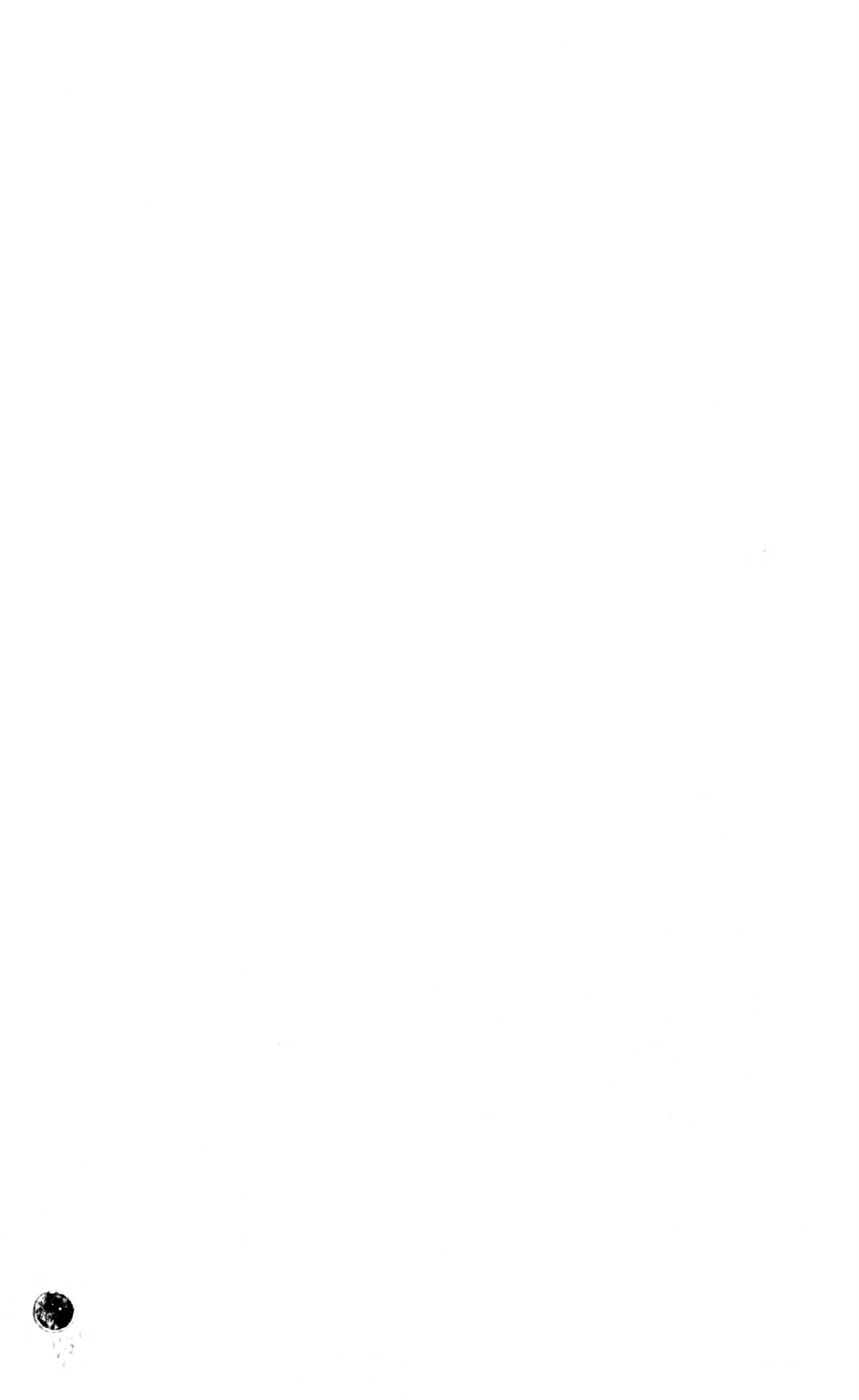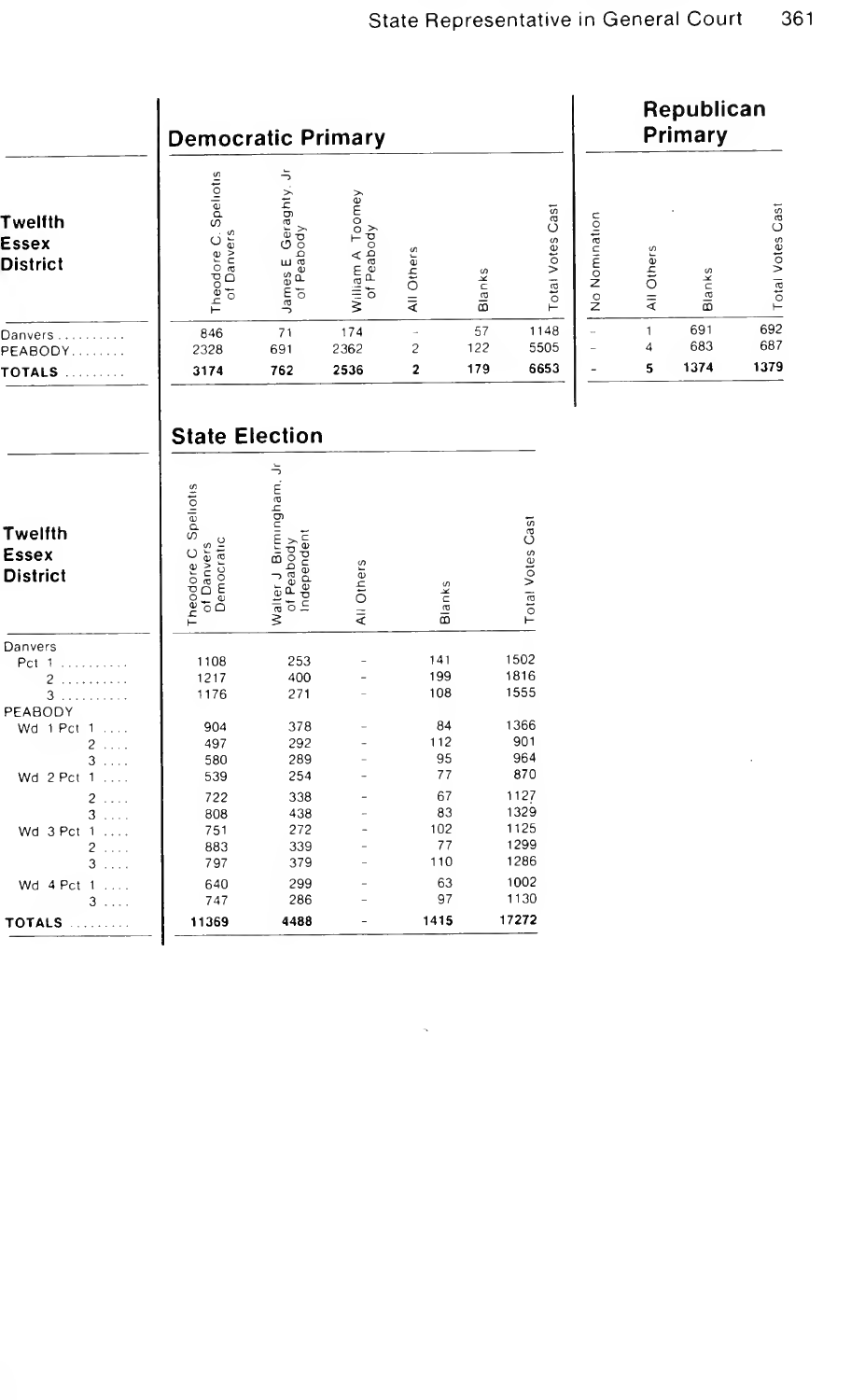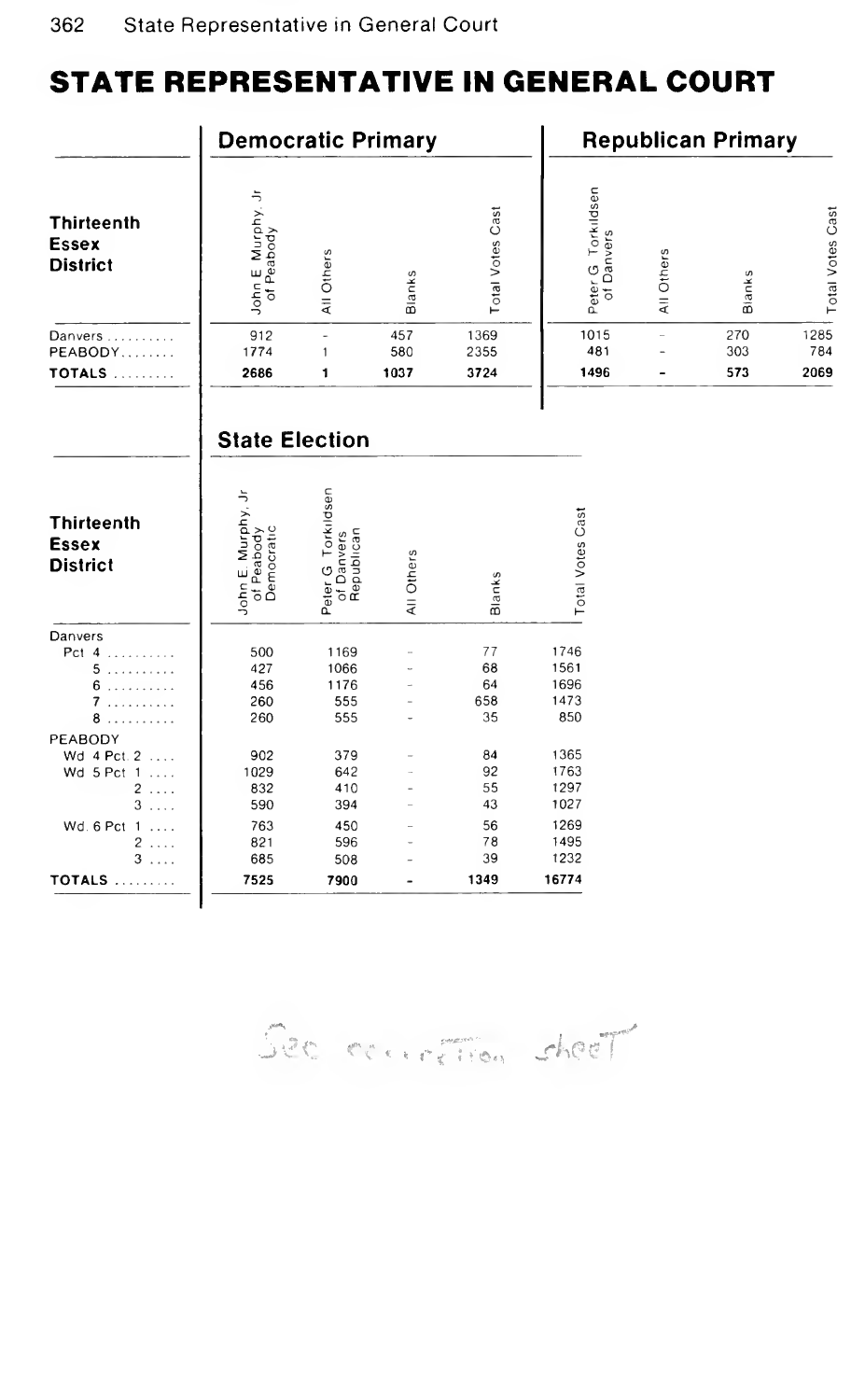|                                                                   | <b>Democratic Primary</b>                      |                                                |                    |                             | <b>Republican Primary</b>           |            |                   |                         |  |
|-------------------------------------------------------------------|------------------------------------------------|------------------------------------------------|--------------------|-----------------------------|-------------------------------------|------------|-------------------|-------------------------|--|
| <b>Thirteenth</b><br><b>Essex</b><br><b>District</b>              | John E Murphy, Jr<br>of Peabody                | All Others                                     | Blanks             | <b>Total Votes Cast</b>     | Peter G Torkildsen<br>of Danvers    | All Others | Blanks            | <b>Total Votes Cast</b> |  |
| Danvers<br>PEABODY<br><b>TOTALS</b>                               | 912<br>1774<br>2686                            | $\qquad \qquad$<br>$\mathbf{1}$<br>1           | 457<br>580<br>1037 | 1369<br>2355<br>3724        | 1015<br>481<br>1496                 | Ĭ.         | 270<br>303<br>573 | 1285<br>784<br>2069     |  |
|                                                                   | <b>State Election</b>                          |                                                |                    |                             |                                     |            |                   |                         |  |
| <b>Thirteenth</b><br><b>Essex</b><br><b>District</b>              | John E. Murphy, Jr<br>of Peabody<br>Democratic | Peter G Torkildsen<br>of Danvers<br>Republican | All Others         | Blanks                      | Total Votes Cast                    |            |                   |                         |  |
| Danvers<br>Pct 4<br>5<br>6<br>7<br>.<br>$8 \ldots$<br>.           | 500<br>427<br>456<br>260<br>260                | 1169<br>1066<br>1176<br>555<br>555             |                    | 77<br>68<br>64<br>658<br>35 | 1746<br>1561<br>1696<br>1473<br>850 |            |                   |                         |  |
| PEABODY<br>Wd 4 Pct. 2<br>Wd 5 Pct 1<br>2<br>$\sim$<br>$3 \ldots$ | 902<br>1029<br>832<br>590                      | 379<br>642<br>410<br>394                       |                    | 84<br>92<br>55<br>43        | 1365<br>1763<br>1297<br>1027        |            |                   |                         |  |
| Wd. 6 Pct 1<br>2<br>$\ldots$<br>$3 \ldots$<br><b>TOTALS</b>       | 763<br>821<br>685<br>7525                      | 450<br>596<br>508<br>7900                      |                    | 56<br>78<br>39<br>1349      | 1269<br>1495<br>1232<br>16774       |            |                   |                         |  |

See courties sheet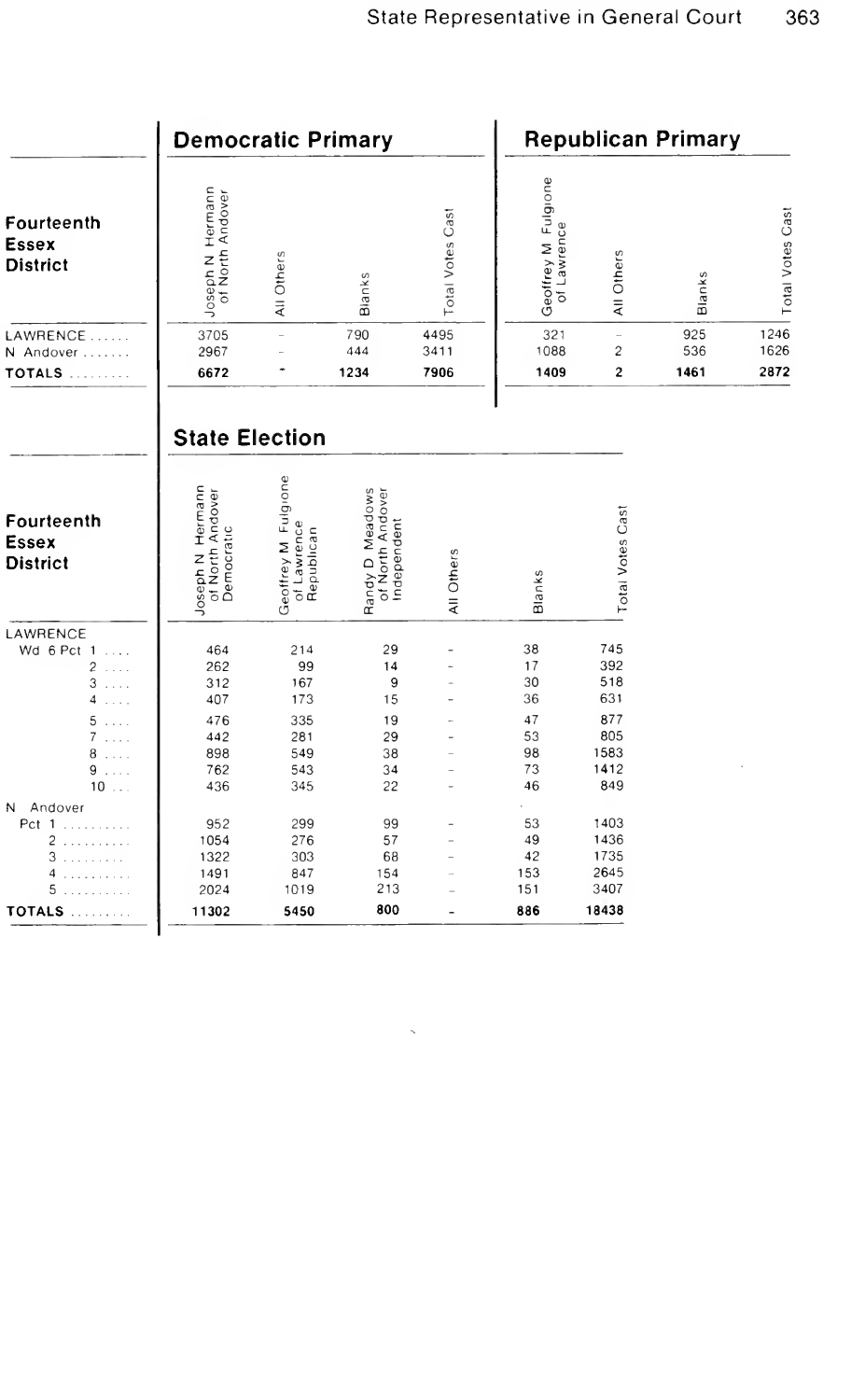|                                                       | <b>Democratic Primary</b>                          |                                                  |                                                    |                  |                                  | <b>Republican Primary</b> |                                            |            |                         |  |
|-------------------------------------------------------|----------------------------------------------------|--------------------------------------------------|----------------------------------------------------|------------------|----------------------------------|---------------------------|--------------------------------------------|------------|-------------------------|--|
| Fourteenth<br>Essex<br><b>District</b>                | Hermann<br>Joseph N Hermann<br>of North Andover    | All Others                                       | Blanks                                             | Total Votes Cast | Geoffrey M Fulgione              | of Lawrence               | All Others                                 | Blanks     | <b>Total Votes Cast</b> |  |
| LAWRENCE<br>N Andover                                 | 3705<br>2967                                       | L                                                | 790<br>444                                         | 4495<br>3411     |                                  | 321<br>1088               | $\overline{\phantom{a}}$<br>$\overline{c}$ | 925<br>536 | 1246<br>1626            |  |
| TOTALS                                                | 6672                                               |                                                  | 1234                                               | 7906             |                                  | 1409                      | $\overline{c}$                             | 1461       | 2872                    |  |
|                                                       | <b>State Election</b>                              |                                                  |                                                    |                  |                                  |                           |                                            |            |                         |  |
| Fourteenth<br><b>Essex</b><br><b>District</b>         | Joseph N Hermann<br>of North Andover<br>Democratic | Geoffrey M Fulgione<br>of Lawrence<br>Republican | Randy D Meadows<br>of North Andover<br>Independent | All Others       | Blanks                           |                           | Total Votes Cast                           |            |                         |  |
| LAWRENCE<br>Wd 6 Pct 1<br>2<br>3<br>$\sim 100$        | 464<br>262<br>312                                  | 214<br>99<br>167                                 | 29<br>14<br>9                                      |                  | 38<br>17<br>30                   |                           | 745<br>392<br>518                          |            |                         |  |
| 4<br>$\sim 100$<br>5<br>$7 \ldots$<br>8.<br>9<br>$10$ | 407<br>476<br>442<br>898<br>762<br>436             | 173<br>335<br>281<br>549<br>543<br>345           | 15<br>19<br>29<br>38<br>34<br>22                   |                  | 36<br>47<br>53<br>98<br>73<br>46 | 1583<br>1412              | 631<br>877<br>805<br>849                   |            |                         |  |
| Andover<br>N<br>Pct 1<br>3<br>4<br>5                  | 952<br>1054<br>1322<br>1491<br>2024                | 299<br>276<br>303<br>847<br>1019                 | 99<br>57<br>68<br>154<br>213                       |                  | 53<br>49<br>42<br>153<br>151     | 1735<br>2645<br>3407      | 1403<br>1436                               |            |                         |  |
| TOTALS                                                | 11302                                              | 5450                                             | 800                                                |                  | 886                              | 18438                     |                                            |            |                         |  |

 $\sim$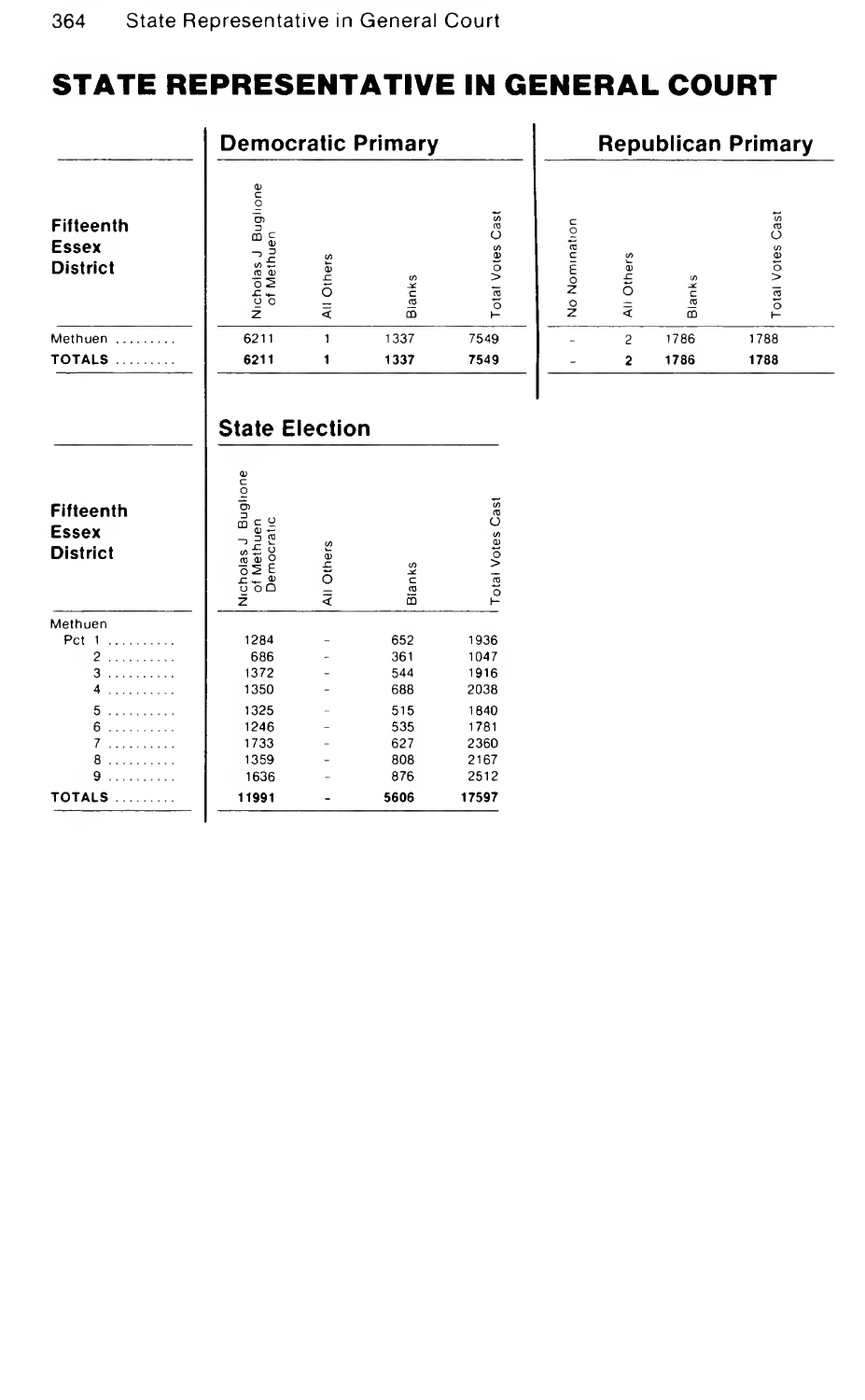|                                         |                                                                                 |                   | <b>Democratic Primary</b>       |                                      |               | <b>Republican Primary</b> |              |                  |  |  |
|-----------------------------------------|---------------------------------------------------------------------------------|-------------------|---------------------------------|--------------------------------------|---------------|---------------------------|--------------|------------------|--|--|
| Fifteenth<br>Essex<br><b>District</b>   | Nicholas J Buglione<br>of Methuen                                               | All Others        | Blanks                          | Total Votes Cast                     | No Nomination | All Others                | Blanks       | Total Votes Cast |  |  |
| Methuen<br>TOTALS                       | 6211<br>6211                                                                    | $\mathbf{1}$<br>1 | 1337<br>1337                    | 7549<br>7549                         |               | $\overline{c}$<br>2       | 1786<br>1786 | 1788<br>1788     |  |  |
| Fifteenth<br>Essex<br><b>District</b>   | <b>State Election</b><br>Buglione<br>Nicholas J Bur<br>of Methuen<br>Democratic |                   |                                 | Total Votes Cast                     |               |                           |              |                  |  |  |
|                                         |                                                                                 | All Others        | Blanks                          |                                      |               |                           |              |                  |  |  |
| Methuen<br>Pct 1<br>$\overline{c}$<br>3 | 1284<br>686<br>1372<br>1350                                                     |                   | 652<br>361<br>544<br>688        | 1936<br>1047<br>1916<br>2038         |               |                           |              |                  |  |  |
| 5<br>6<br>8<br>$9$ .                    | 1325<br>1246<br>1733<br>1359<br>1636                                            |                   | 515<br>535<br>627<br>808<br>876 | 1840<br>1781<br>2360<br>2167<br>2512 |               |                           |              |                  |  |  |
| <b>TOTALS</b>                           | 11991                                                                           |                   | 5606                            | 17597                                |               |                           |              |                  |  |  |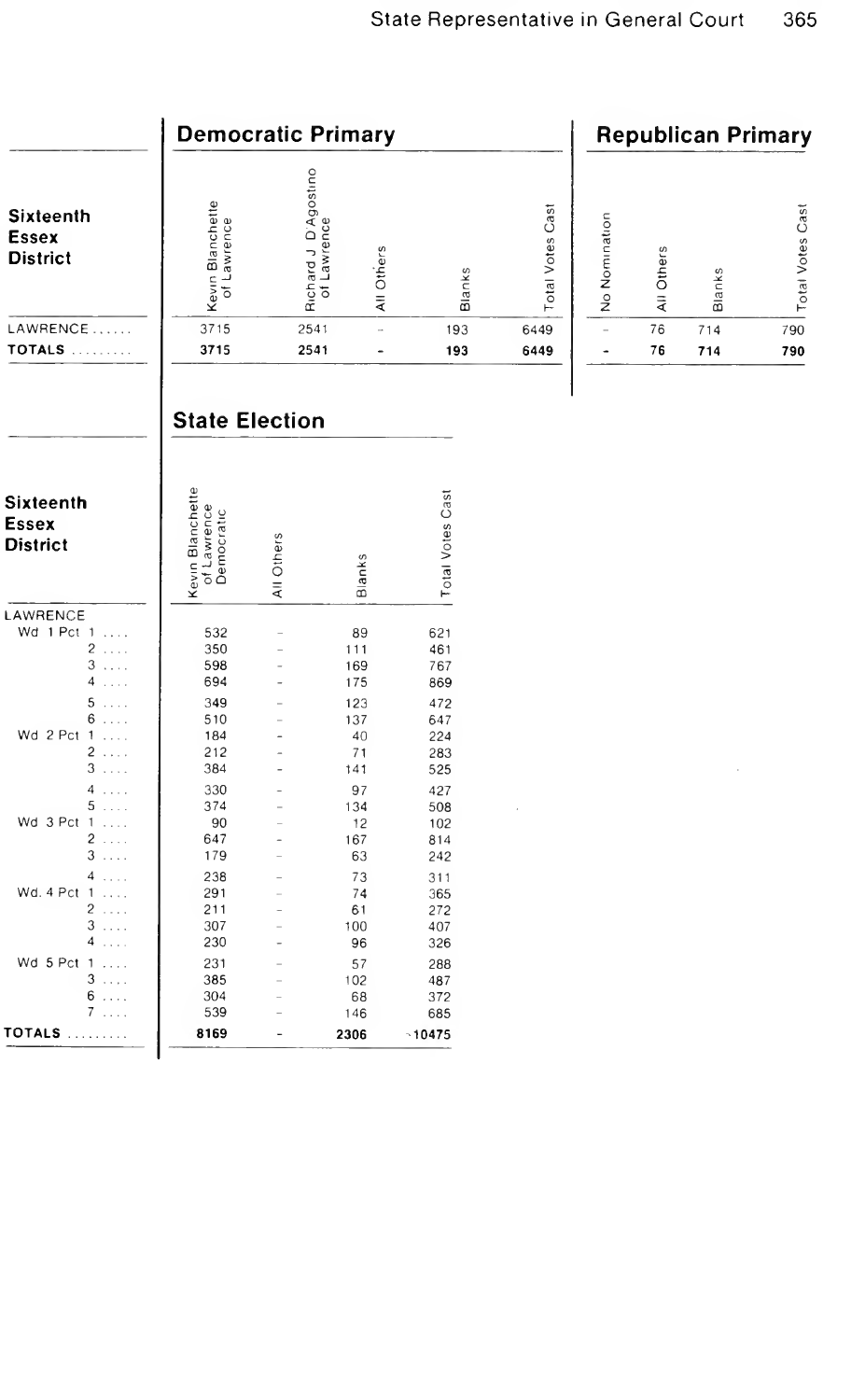| Sixteenth<br><b>Essex</b><br><b>District</b>  | Kevin Blanchette<br>of Lawrence<br>3715       | Richard J D'Agostino<br>of Lawrence |                          |                          |        |                  |                |            |        |                  |
|-----------------------------------------------|-----------------------------------------------|-------------------------------------|--------------------------|--------------------------|--------|------------------|----------------|------------|--------|------------------|
|                                               |                                               |                                     | All Others               |                          | Blanks | Total Votes Cast | No Nomination  | All Others | Blanks | Total Votes Cast |
| LAWRENCE                                      |                                               | 2541                                | $\overline{\phantom{a}}$ | 193                      |        | 6449             | $\frac{1}{2}$  | 76         | 714    | 790              |
| TOTALS                                        | 3715                                          | 2541                                | $\overline{\phantom{a}}$ | 193                      |        | 6449             | $\overline{a}$ | 76         | 714    | 790              |
|                                               | <b>State Election</b>                         |                                     |                          |                          |        |                  |                |            |        |                  |
| Sixteenth<br><b>Essex</b><br><b>District</b>  | Kevin Blanchette<br>of Lawrence<br>Democratic | All Others                          | Blanks                   | <b>Total Votes Cast</b>  |        |                  |                |            |        |                  |
| LAWRENCE                                      |                                               |                                     |                          |                          |        |                  |                |            |        |                  |
| Wd 1 Pct 1<br>$2 \ldots$<br>$3 \ldots$<br>$4$ | 532<br>350<br>598<br>694                      |                                     | 89<br>111<br>169<br>175  | 621<br>461<br>767<br>869 |        |                  |                |            |        |                  |
| $5 \ldots$<br>6                               | 349<br>510                                    |                                     | 123<br>137               | 472<br>647               |        |                  |                |            |        |                  |
| Wd 2 Pct 1<br>$2 \ldots$<br>$3 \ldots$        | 184<br>212<br>384                             |                                     | 40<br>71<br>141          | 224<br>283<br>525        |        |                  |                |            |        |                  |
| $4$<br>$5 \ldots$<br>Wd 3 Pct 1               | 330<br>374<br>90                              |                                     | 97<br>134<br>12          | 427<br>508<br>102        |        |                  |                |            |        |                  |
| $2 \ldots$<br>$3 \ldots$                      | 647<br>179                                    |                                     | 167<br>63                | 814<br>242               |        |                  |                |            |        |                  |
| 4.                                            | 238                                           |                                     | 73                       | 311                      |        |                  |                |            |        |                  |
| Wd. 4 Pct 1<br>$2 \ldots$<br>$3$<br>4         | 291<br>211<br>307<br>230                      |                                     | 74<br>61<br>100<br>96    | 365<br>272<br>407<br>326 |        |                  |                |            |        |                  |
| Wd 5 Pct 1<br>$3 \ldots$<br>$6 \ldots$        | 231<br>385<br>304                             |                                     | 57<br>102<br>68          | 288<br>487<br>372        |        |                  |                |            |        |                  |
| $7 \ldots$                                    | 539                                           |                                     | 146                      | 685                      |        |                  |                |            |        |                  |
| TOTALS<br>.                                   | 8169                                          | $\overline{a}$                      | 2306                     | $-10475$                 |        |                  |                |            |        |                  |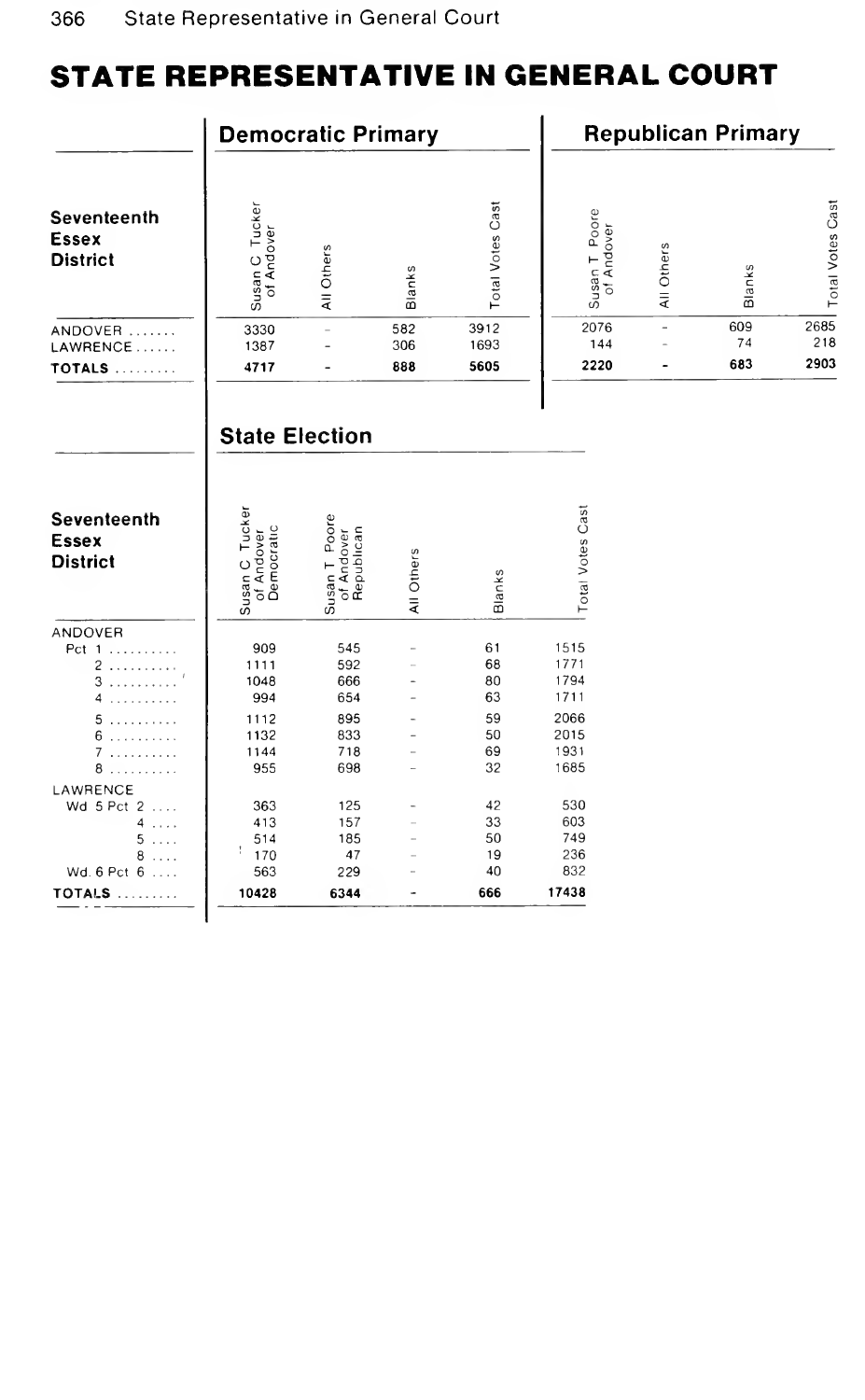|                                                                                               | <b>Democratic Primary</b>                                 |                                                      |            |                                              |                                                              | <b>Republican Primary</b> |           |                  |  |  |
|-----------------------------------------------------------------------------------------------|-----------------------------------------------------------|------------------------------------------------------|------------|----------------------------------------------|--------------------------------------------------------------|---------------------------|-----------|------------------|--|--|
| Seventeenth<br>Essex<br><b>District</b>                                                       | Tucker<br>Susan C Tuc<br>of Andover                       | All Others                                           | Blanks     | <b>Total Votes Cast</b>                      | Poore<br>Susan T Poor                                        | All Others                | Blanks    | Total Votes Cast |  |  |
| ANDOVER                                                                                       | 3330<br>1387                                              |                                                      | 582<br>306 | 3912<br>1693                                 | 2076<br>144                                                  |                           | 609<br>74 | 2685<br>218      |  |  |
| LAWRENCE<br><b>TOTALS</b>                                                                     | 4717                                                      |                                                      | 888        | 5605                                         | 2220                                                         |                           | 683       | 2903             |  |  |
|                                                                                               | <b>State Election</b>                                     |                                                      |            |                                              |                                                              |                           |           |                  |  |  |
| Seventeenth<br><b>Essex</b><br><b>District</b>                                                | Susan C Tucker<br>of Andover<br>Democratic                | Susan T Poore<br>of Andover<br>Republican            | All Others | Blanks                                       | Total Votes Cast                                             |                           |           |                  |  |  |
| ANDOVER<br>Pct 1<br>2<br>3<br>4<br>.<br>5<br>.<br>6<br>.<br>$\overline{7}$<br>.<br>$8$ .<br>. | 909<br>1111<br>1048<br>994<br>1112<br>1132<br>1144<br>955 | 545<br>592<br>666<br>654<br>895<br>833<br>718<br>698 |            | 61<br>68<br>80<br>63<br>59<br>50<br>69<br>32 | 1515<br>1771<br>1794<br>1711<br>2066<br>2015<br>1931<br>1685 |                           |           |                  |  |  |
| LAWRENCE<br>Wd 5 Pct 2<br>4<br>$\cdots$<br>5<br>$\sim 100$<br>8.<br>Wd. 6 Pct 6               | 363<br>413<br>514<br>170<br>563                           | 125<br>157<br>185<br>47<br>229                       |            | 42<br>33<br>50<br>19<br>40                   | 530<br>603<br>749<br>236<br>832                              |                           |           |                  |  |  |
| <b>TOTALS</b>                                                                                 | 10428                                                     | 6344                                                 | ÷          | 666                                          | 17438                                                        |                           |           |                  |  |  |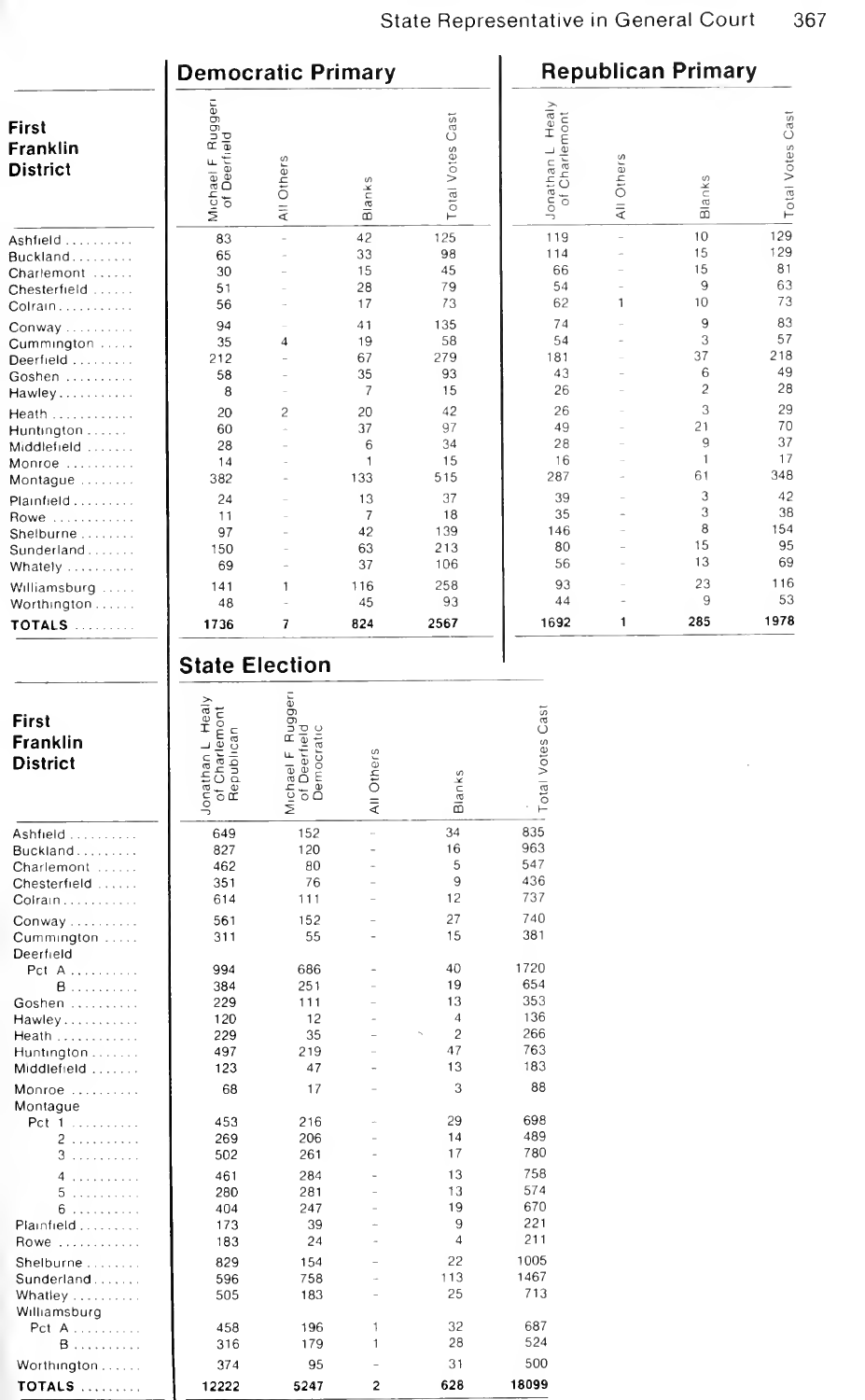|                                      |                                                 | <b>Democratic Primary</b>                              |                      |                                           |                          | <b>Republican Primary</b> |                        |                        |  |  |
|--------------------------------------|-------------------------------------------------|--------------------------------------------------------|----------------------|-------------------------------------------|--------------------------|---------------------------|------------------------|------------------------|--|--|
| First<br>Franklin<br><b>District</b> | Ruggeri<br>Michael F. Rui<br>of Deerfield       | Others<br>$\bar{4}$                                    | lanks<br>∞           | Total Votes Cast                          | Healy<br>Jonathan L Heal | Others<br>$\bar{4}$       | anks<br>$\bar{\infty}$ | Total Votes Cast       |  |  |
| Ashfield<br>Buckland<br>Charlemont   | 83<br>65<br>30                                  | i,                                                     | 42<br>33<br>15       | 125<br>98<br>45                           | 119<br>114<br>66         | J.                        | 10<br>15<br>15<br>9    | 129<br>129<br>81<br>63 |  |  |
| Chesterfield<br>Colrain              | 51<br>56                                        |                                                        | 28<br>17             | 79<br>73                                  | 54<br>62                 | 1                         | 10                     | 73                     |  |  |
| Conway<br>Cummington                 | 94<br>35                                        | $\overline{\mathbf{4}}$                                | 41<br>19             | 135<br>58                                 | 74<br>54                 |                           | 9<br>3                 | 83<br>57               |  |  |
| Deerfield<br>Goshen                  | 212<br>58                                       | í.                                                     | 67<br>35             | 279<br>93                                 | 181<br>43                |                           | 37<br>6                | 218<br>49              |  |  |
| Hawley                               | 8                                               | $\overline{\phantom{a}}$                               | 7                    | 15                                        | 26                       |                           | $\overline{c}$         | 28                     |  |  |
| Heath                                | 20<br>60                                        | $\overline{c}$                                         | 20<br>37             | 42<br>97                                  | 26<br>49                 |                           | 3<br>21                | 29<br>70               |  |  |
| Huntington<br>Middlefield            | 28                                              |                                                        | 6                    | 34                                        | 28                       |                           | 9                      | 37                     |  |  |
| Monroe                               | 14                                              |                                                        | 1                    | 15                                        | 16                       |                           | $\mathbf{1}$           | 17                     |  |  |
| Montague                             | 382                                             |                                                        | 133                  | 515                                       | 287                      | ż                         | 61                     | 348                    |  |  |
| Plainfield                           | 24                                              |                                                        | 13                   | 37                                        | 39                       |                           | 3                      | 42                     |  |  |
| Rowe                                 | 11                                              |                                                        | $\overline{7}$<br>42 | 18<br>139                                 | 35<br>146                |                           | 3<br>8                 | 38<br>154              |  |  |
| Shelburne<br>Sunderland              | 97<br>150                                       |                                                        | 63                   | 213                                       | 80                       |                           | 15                     | 95                     |  |  |
| Whately                              | 69                                              |                                                        | 37                   | 106                                       | 56                       |                           | 13                     | 69                     |  |  |
| Williamsburg                         | 141                                             | 1                                                      | 116                  | 258                                       | 93                       |                           | 23                     | 116                    |  |  |
| Worthington                          | 48                                              |                                                        | 45                   | 93                                        | 44                       |                           | 9                      | 53                     |  |  |
| TOTALS                               | 1736                                            | 7                                                      | 824                  | 2567                                      | 1692                     | 1                         | 285                    | 1978                   |  |  |
|                                      | <b>State Election</b>                           |                                                        |                      |                                           |                          |                           |                        |                        |  |  |
| First<br>Franklin<br><b>District</b> | Jonathan L Healy<br>of Charlemont<br>Republican | Ruggeri<br>Michael F Rug<br>of Deerfield<br>Democratic | Others               | Blanks                                    | Total Votes Cast         |                           |                        |                        |  |  |
|                                      |                                                 |                                                        | $\frac{1}{4}$        |                                           |                          |                           |                        |                        |  |  |
| Ashfield                             | 649                                             | 152                                                    | ł,                   | 34                                        | 835                      |                           |                        |                        |  |  |
| Buckland                             | 827<br>462                                      | 120<br>80                                              |                      | 16<br>5                                   | 963<br>547               |                           |                        |                        |  |  |
| Charlemont<br>Chesterfield           | 351                                             | 76                                                     |                      | 9                                         | 436                      |                           |                        |                        |  |  |
| Colrain                              | 614                                             | 111                                                    |                      | 12                                        | 737                      |                           |                        |                        |  |  |
| Conway<br>Cummington<br>Deerfield    | 561<br>311                                      | 152<br>55                                              |                      | 27<br>15                                  | 740<br>381               |                           |                        |                        |  |  |
| Pct A<br>8.                          | 994<br>384                                      | 686<br>251                                             |                      | 40<br>19                                  | 1720<br>654              |                           |                        |                        |  |  |
| Goshen                               | 229                                             | 111                                                    |                      | 13                                        | 353                      |                           |                        |                        |  |  |
| Hawley                               | 120<br>229                                      | 12<br>35                                               |                      | $\overline{4}$<br>$\overline{\mathbf{c}}$ | 136<br>266               |                           |                        |                        |  |  |
| Heath $\ldots$<br>Huntington         | 497                                             | 219                                                    |                      | 47                                        | 763                      |                           |                        |                        |  |  |
| Middlefield                          | 123                                             | 47                                                     |                      | 13                                        | 183                      |                           |                        |                        |  |  |
| Monroe<br>Montague                   | 68                                              | 17                                                     |                      | 3                                         | 88                       |                           |                        |                        |  |  |
| Pct 1                                | 453                                             | 216                                                    |                      | 29                                        | 698                      |                           |                        |                        |  |  |
| 2.                                   | 269                                             | 206                                                    |                      | 14                                        | 489                      |                           |                        |                        |  |  |
| 3                                    | 502                                             | 261                                                    |                      | 17                                        | 780                      |                           |                        |                        |  |  |
| 4.<br>5                              | 461                                             | 284<br>281                                             |                      | 13<br>13                                  | 758<br>574               |                           |                        |                        |  |  |
| 6                                    | 280<br>404                                      | 247                                                    |                      | 19                                        | 670                      |                           |                        |                        |  |  |
| Plainfield                           | 173                                             | 39                                                     |                      | $\,9$                                     | 221                      |                           |                        |                        |  |  |
| Rowe                                 | 183                                             | 24                                                     | i.                   | $\overline{4}$                            | 211                      |                           |                        |                        |  |  |
| Shelburne                            | 829                                             | 154                                                    |                      | 22                                        | 1005                     |                           |                        |                        |  |  |
| Sunderland                           | 596                                             | 758                                                    | i,                   | 113                                       | 1467<br>713              |                           |                        |                        |  |  |
| Whatley<br>Williamsburg              | 505                                             | 183                                                    |                      | 25                                        |                          |                           |                        |                        |  |  |
| Pct A                                | 458                                             | 196                                                    | 1                    | 32                                        | 687                      |                           |                        |                        |  |  |
| B                                    | 316                                             | 179                                                    | $\mathbf{1}$         | 28                                        | 524                      |                           |                        |                        |  |  |
| Worthington                          | 374                                             | 95                                                     | $\overline{a}$       | 31                                        | 500                      |                           |                        |                        |  |  |
| TOTALS                               | 12222                                           | 5247                                                   | 2                    | 628                                       | 18099                    |                           |                        |                        |  |  |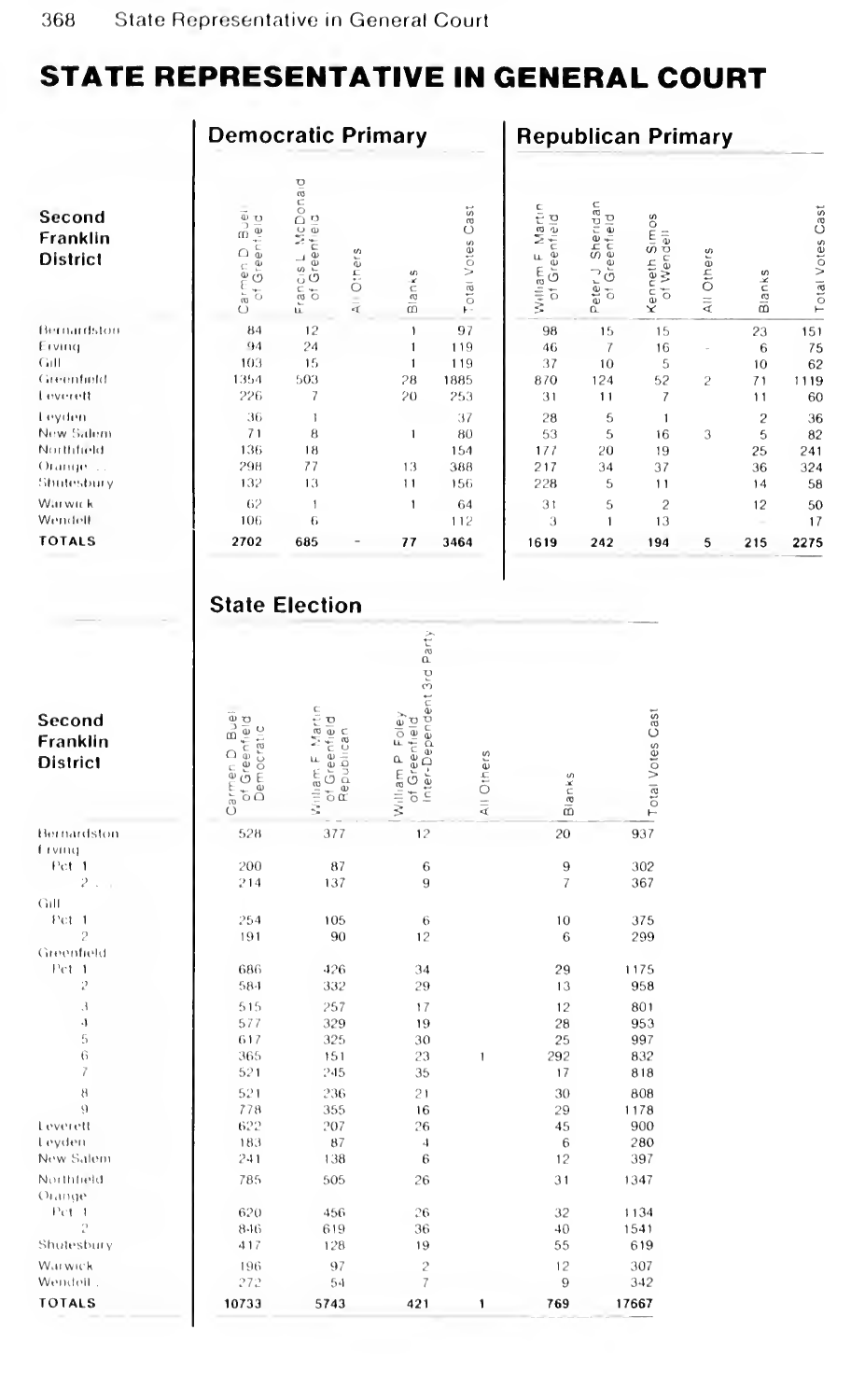|                                                                   |                                                        | <b>Democratic Primary</b>                    |                             |                                                                 |                                 |                                    |                                   | <b>Republican Primary</b>             |                |                                                |                               |  |  |
|-------------------------------------------------------------------|--------------------------------------------------------|----------------------------------------------|-----------------------------|-----------------------------------------------------------------|---------------------------------|------------------------------------|-----------------------------------|---------------------------------------|----------------|------------------------------------------------|-------------------------------|--|--|
| <b>Second</b><br>Franklin<br><b>District</b>                      | pier<br>Poe<br>Carmen D. Bu<br>of Greenfiel            | Francis L. McDonaid<br>of Greenfield         | Alli Others                 | Blanks                                                          | Total Votes Cast                | William F. Martin<br>of Greenfield | Peter J Sheridan<br>of Greenfield | Kenneth Simos<br>of Wendell           | All Others     | Blanks                                         | Total Votes Cast              |  |  |
| Bernardston<br>Erving<br>G <sub>H</sub><br>Greenfield<br>Leverett | 84<br>94<br>103<br>1354<br>226                         | 12<br>24<br>15<br>503<br>$\overline{\prime}$ |                             | $\pmb{\mathcal{E}}$<br>$\mathbf{1}$<br>$\mathbf{1}$<br>28<br>20 | 97<br>119<br>119<br>1885<br>253 | 98<br>46<br>37<br>870<br>31        | 15<br>7<br>10<br>124<br>11        | 15<br>16<br>5<br>52<br>$\overline{7}$ | $\overline{c}$ | 23<br>6<br>10<br>71<br>11                      | 151<br>75<br>62<br>1119<br>60 |  |  |
| Leyden<br>New Salem<br>Northfield<br>Orange<br>Shutesbury         | 36<br>71<br>136<br>298<br>132                          | $\mathbf{1}$<br>8<br>18<br>77<br>13          |                             | $\mathbf{1}$<br>13<br>11                                        | 37<br>80<br>154<br>388<br>156   | 28<br>53<br>177<br>217<br>228      | 5<br>5<br>20<br>34<br>5           | $\mathbf{1}$<br>16<br>19<br>37<br>11  | 3              | $\overline{\mathbf{c}}$<br>5<br>25<br>36<br>14 | 36<br>82<br>241<br>324<br>58  |  |  |
| <b>Warwick</b><br>Wendell                                         | 62<br>106                                              | $\overline{1}$<br>6                          |                             | $\mathbf{1}$                                                    | 64<br>112                       | 31<br>3                            | 5<br>1                            | $\overline{c}$<br>13                  |                | 12                                             | 50<br>17                      |  |  |
| <b>TOTALS</b>                                                     | 2702                                                   | 685                                          |                             | 77                                                              | 3464                            | 1619                               | 242                               | 194                                   | 5              | 215                                            | 2275                          |  |  |
|                                                                   | <b>State Election</b>                                  |                                              |                             |                                                                 |                                 |                                    |                                   |                                       |                |                                                |                               |  |  |
|                                                                   |                                                        |                                              |                             |                                                                 |                                 |                                    |                                   |                                       |                |                                                |                               |  |  |
| Second<br>Franklin<br><b>District</b>                             | armen D. Buel<br>of Greenfield<br>Democratic<br>Carmen | William F. Martin                            | of Greenfield<br>Republican | of Greenfield<br>Inter-Dependent 3rd Party<br>William P Foley   | All Others                      | Blanks                             |                                   | Total Votes Cast                      |                |                                                |                               |  |  |
| Bernardston<br>f rving                                            | 528                                                    | 377                                          |                             | 12                                                              |                                 | 20                                 |                                   | 937                                   |                |                                                |                               |  |  |
| Pct 1<br>$2 - 1$<br>Gill                                          | 200<br>214                                             | 137                                          | 87                          | 6<br>9                                                          |                                 | 9<br>$\overline{7}$                |                                   | 302<br>367                            |                |                                                |                               |  |  |
| Pct 1<br>$\overline{2}$                                           | 254<br>191                                             | 105                                          | 90                          | 6<br>12                                                         |                                 | 10<br>$\,$ 6                       |                                   | 375<br>299                            |                |                                                |                               |  |  |

|                  | 10733 | 5743 | 421            | 769 | 17667  |
|------------------|-------|------|----------------|-----|--------|
| <b>TOTALS</b>    |       |      |                |     |        |
| Nendell .        | 272   | 54   | $\overline{7}$ | 9   | 342    |
| Narwick          | 196   | 97   | $\overline{c}$ | 12  | 30     |
| Shutesbury       | 417   | 128  | 19             | 55  | 619    |
| 2                | 846   | 619  | 36             | 40  | 154    |
| Pet 1            | 620   | 456  | 26             | 32  | $113-$ |
| Dramge.          |       |      |                |     |        |
| Vorthheld        | 785   | 505  | 26             | 31  | 134    |
| Vew Salem        | 241   | 138  | 6              | 12  | 39     |
| eyden            | 183   | 87   | 4              | 6   | 28     |
| everett          | 622   | 207  | 26             | 45  | 90     |
| 9                | 778   | 355  | 16             | 29  | 1171   |
| 8                | 521   | 236  | 21             | 30  | 80     |
|                  | 521   | 245  | 35             | 17  | 818    |
| 6                | 365   | 151  | 23             | 292 | 83     |
| 5                | 617   | 325  | 30             | 25  | 99     |
| 4                | 577   | 329  | 19             | 28  | 95     |
| Η,               | 515   | 257  | 17             | 12  | 80     |
| 2                | 584   | 332  | 29             | 13  | 951    |
| Pet <sub>1</sub> | 686   | 426  | 34             | 29  | 117.   |
| àreenfield       |       |      |                |     |        |
| 2                | 191   | 90   | 12             | 6   | 29     |
| Pct 1            | 254   | 105  | 6              | 10  | 37     |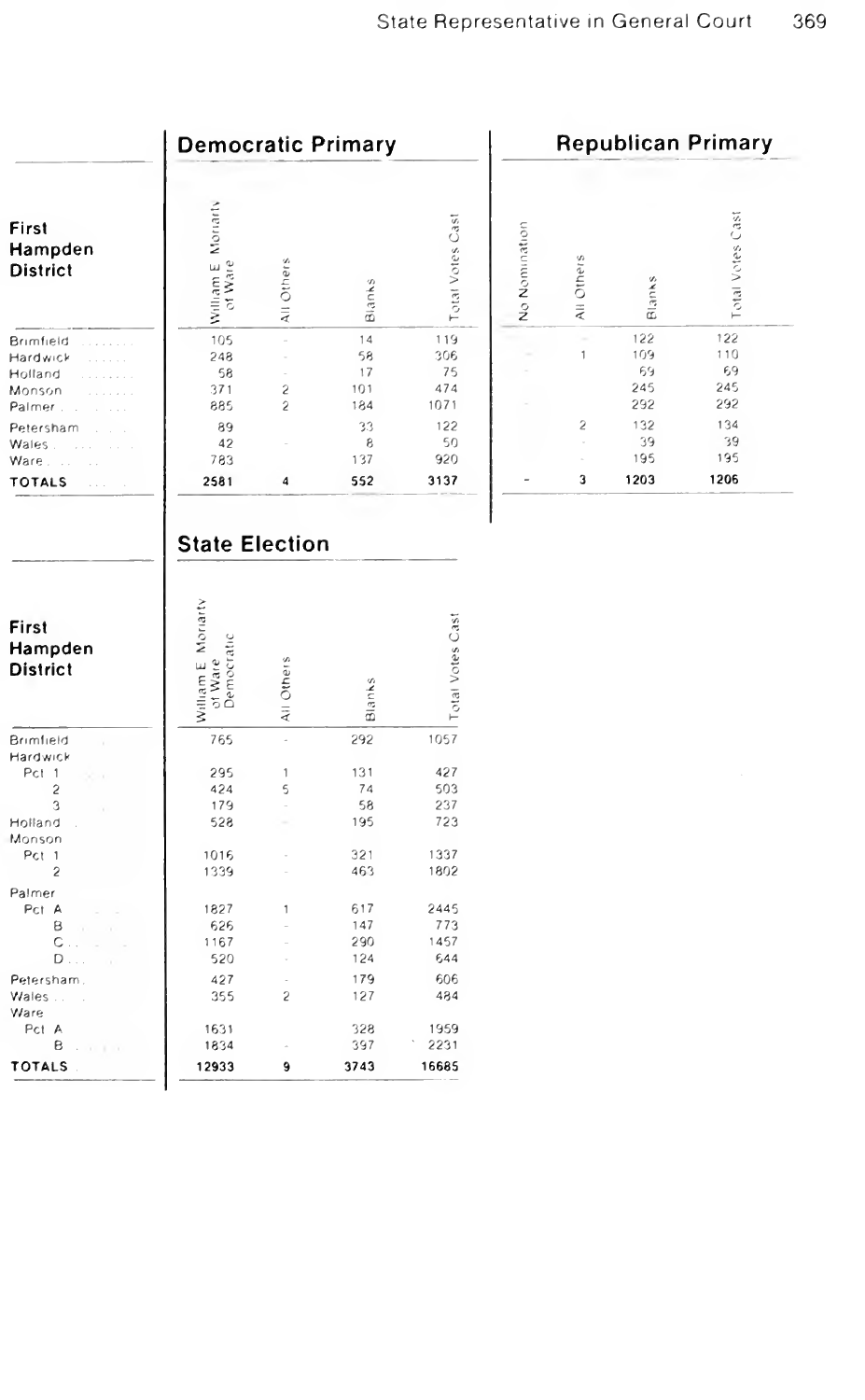|                                                                      |                                             |                                                                     | <b>Democratic Primary</b>    |                                 | <b>Republican Primary</b> |                   |                                |                                |  |  |
|----------------------------------------------------------------------|---------------------------------------------|---------------------------------------------------------------------|------------------------------|---------------------------------|---------------------------|-------------------|--------------------------------|--------------------------------|--|--|
| First<br>Hampden<br><b>District</b>                                  | William E. Moriarty<br>of Ware              | All Others                                                          | Blanks                       | Total Votes Cast                | No Nomination             | All Others        | Blanks                         | Total Votes Cast               |  |  |
| Brimfield<br>Hardwick<br>Holland<br>Monson<br>Palmer                 | 105<br>248<br>58<br>371<br>885              | i,<br>i,<br>ż<br>$\overline{\mathbf{c}}$<br>$\overline{\mathbf{c}}$ | 14<br>58<br>17<br>101<br>184 | 119<br>306<br>75<br>474<br>1071 |                           | ÷<br>$\uparrow$   | 122<br>109<br>69<br>245<br>292 | 122<br>110<br>69<br>245<br>292 |  |  |
| Petersham<br>Wales<br>Ware.<br>$\ddot{\phantom{a}}$<br><b>TOTALS</b> | 89<br>42<br>783<br>2581                     | 4                                                                   | 33<br>8<br>137<br>552        | 122<br>50<br>920<br>3137        |                           | 2<br>×<br>i,<br>3 | 132<br>39<br>195<br>1203       | 134<br>39<br>195<br>1206       |  |  |
| First<br>Hampden<br><b>District</b>                                  | William E Moriarty<br>of Ware<br>Democratic | All Others                                                          | Blanks                       | Total Votes Cast                |                           |                   |                                |                                |  |  |
| Brimfield<br>Hardwick                                                | 765                                         | ú,                                                                  | 292                          | 1057                            |                           |                   |                                |                                |  |  |
| Pct 1<br>$\overline{c}$<br>3<br>Holland<br>Monson                    | 295<br>424<br>179<br>528                    | 1<br>5<br>ä,                                                        | 131<br>74<br>58<br>195       | 427<br>503<br>237<br>723        |                           |                   |                                |                                |  |  |
| Pct 1<br>$\overline{\mathbf{c}}$<br>Palmer                           | 1016<br>1339                                |                                                                     | 321<br>463                   | 1337<br>1802                    |                           |                   |                                |                                |  |  |
| Pct A<br>8<br>С<br>D                                                 | 1827<br>626<br>1167<br>520                  | 1                                                                   | 617<br>147<br>290<br>124     | 2445<br>773<br>1457<br>644      |                           |                   |                                |                                |  |  |
| Petersham<br>Wales<br>Ware                                           | 427<br>355                                  | 2                                                                   | 179<br>127                   | 606<br>484                      |                           |                   |                                |                                |  |  |
| Pct A<br>B<br>$1 - 1 - 1$<br><b>TOTALS</b>                           | 1631<br>1834<br>12933                       | 9                                                                   | 328<br>397<br>3743           | 1959<br>2231<br>16685           |                           |                   |                                |                                |  |  |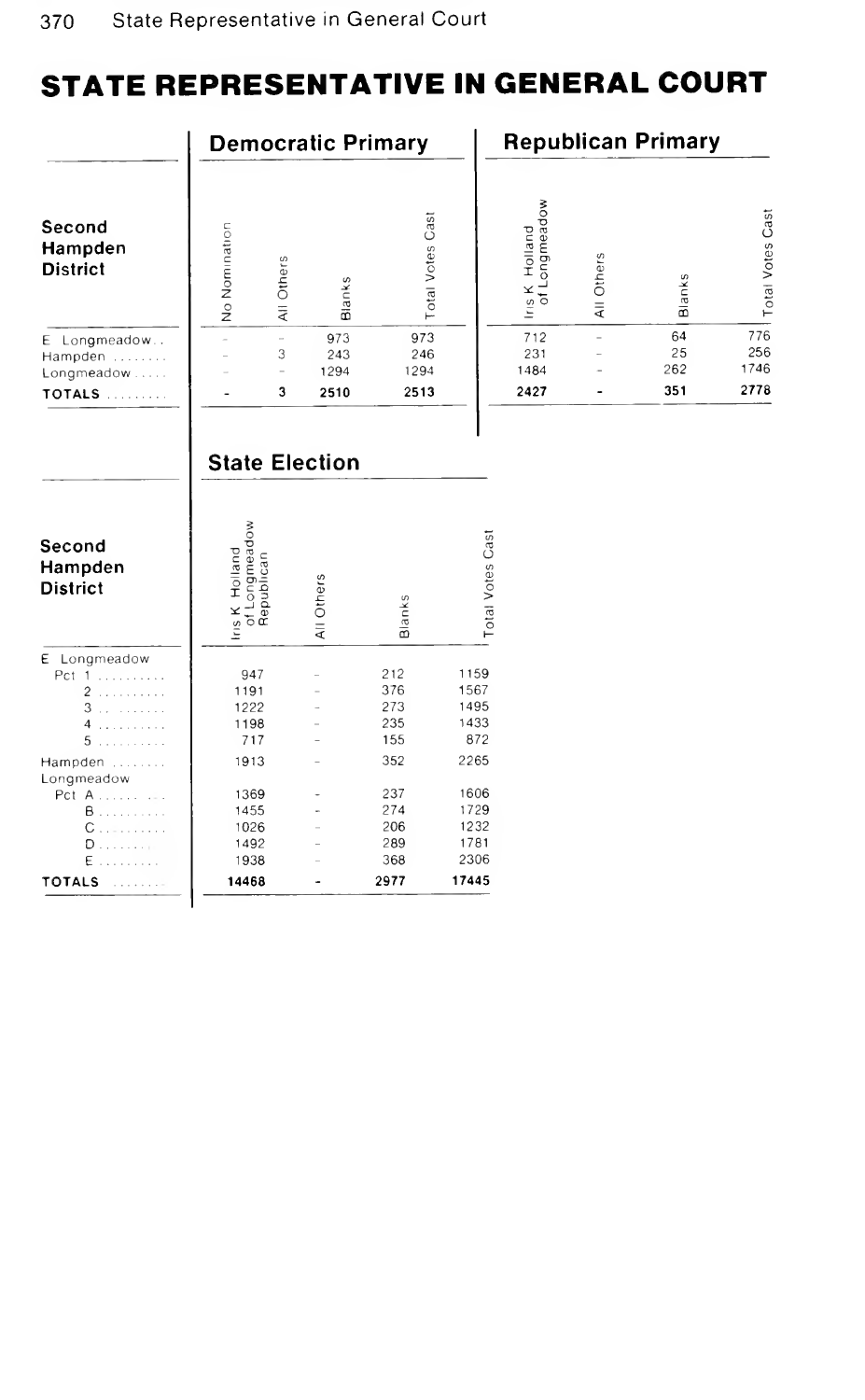|                                                                                    |                                                      |                                                                  | <b>Democratic Primary</b>                        |                                               | <b>Republican Primary</b>       |                          |                        |                            |  |
|------------------------------------------------------------------------------------|------------------------------------------------------|------------------------------------------------------------------|--------------------------------------------------|-----------------------------------------------|---------------------------------|--------------------------|------------------------|----------------------------|--|
| Second<br>Hampden<br><b>District</b>                                               | No Nomination                                        | All Others<br>Blanks                                             | <b>Total Votes Cast</b>                          |                                               | Iris K Holland<br>of Longmeadow | All Others               | Blanks                 | Total Votes Cast           |  |
| E Longmeadow<br>Hampden<br>Longmeadow<br>TOTALS                                    |                                                      | 973<br>$\overline{\phantom{a}}$<br>3<br>243<br>1294<br>3<br>2510 | 973<br>246<br>1294<br>2513                       |                                               | 712<br>231<br>1484<br>2427      | $\overline{\phantom{a}}$ | 64<br>25<br>262<br>351 | 776<br>256<br>1746<br>2778 |  |
| Second<br>Hampden<br><b>District</b>                                               | kris K. Holland<br> - of Longmeadow<br> - Republican | <b>State Election</b><br>All Others                              |                                                  | <b>Total Votes Cast</b>                       |                                 |                          |                        |                            |  |
| E Longmeadow<br>Pct 1<br>2<br>.<br>3<br>.<br>4<br>.<br>5.<br>Hampden<br>Longmeadow | 947<br>1191<br>1222<br>1198<br>717<br>1913           |                                                                  | Blanks<br>212<br>376<br>273<br>235<br>155<br>352 | 1159<br>1567<br>1495<br>1433<br>872<br>2265   |                                 |                          |                        |                            |  |
| Pct A<br><b>B</b><br>$C$<br>$D_1, \ldots, A_n$<br>E<br><b>TOTALS</b>               | 1369<br>1455<br>1026<br>1492<br>1938<br>14468        |                                                                  | 237<br>274<br>206<br>289<br>368<br>2977          | 1606<br>1729<br>1232<br>1781<br>2306<br>17445 |                                 |                          |                        |                            |  |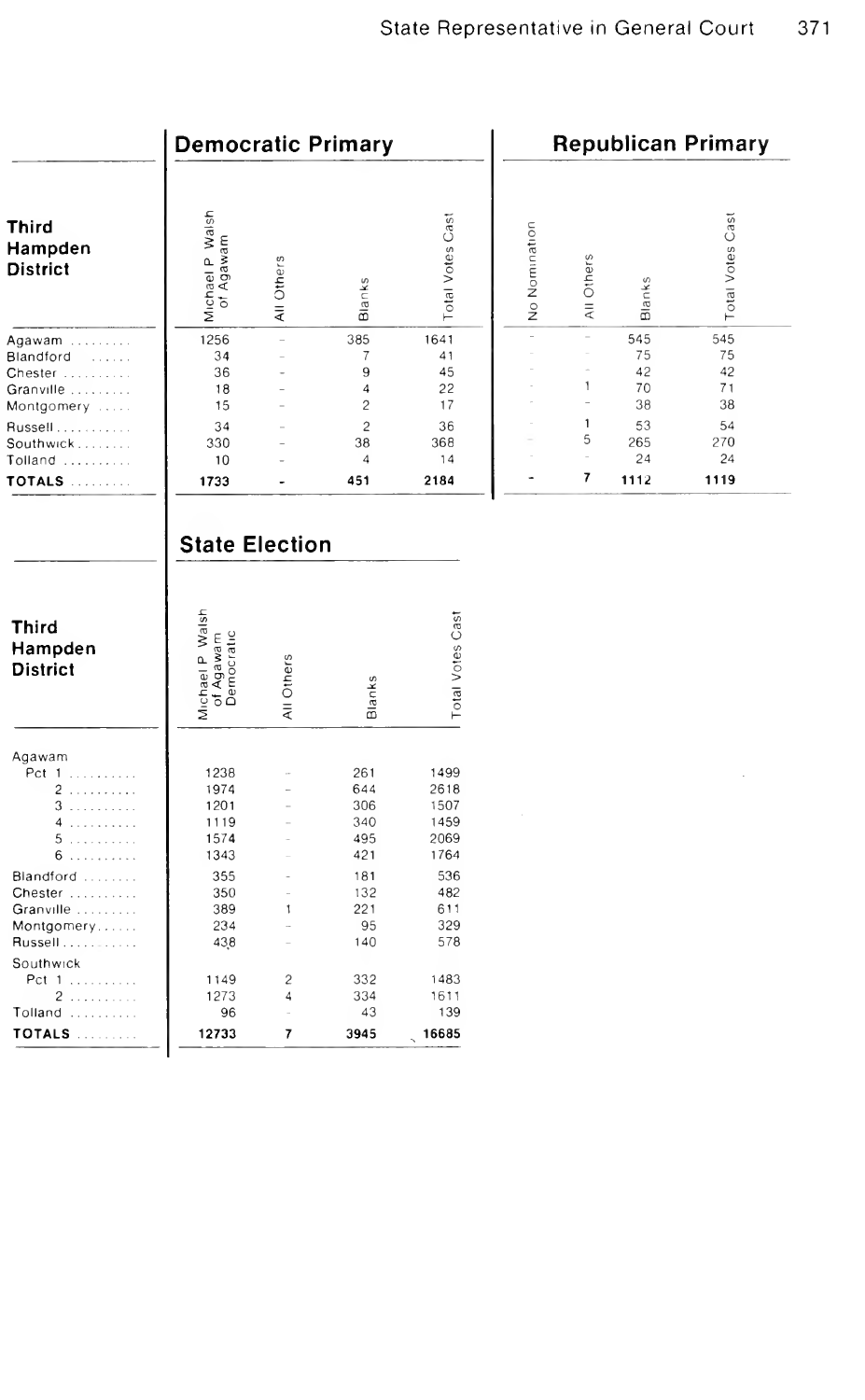|                                                                                                                                                            | <b>Democratic Primary</b>                                                                                      |                                                                       |                                                                                                      |                                                                                                                 | <b>Republican Primary</b> |                                                                                                                                                   |                                                        |                                                        |  |  |
|------------------------------------------------------------------------------------------------------------------------------------------------------------|----------------------------------------------------------------------------------------------------------------|-----------------------------------------------------------------------|------------------------------------------------------------------------------------------------------|-----------------------------------------------------------------------------------------------------------------|---------------------------|---------------------------------------------------------------------------------------------------------------------------------------------------|--------------------------------------------------------|--------------------------------------------------------|--|--|
| <b>Third</b><br>Hampden<br><b>District</b>                                                                                                                 | Michael P Walsh<br>of Agawam                                                                                   | All Others                                                            | Blanks                                                                                               | Total Votes Cast                                                                                                | No Nomination             | All Others                                                                                                                                        | <b>Blanks</b>                                          | Total Votes Cast                                       |  |  |
| Agawam<br>Blandford<br>1.1.1.1.1<br>Chester<br>Granville<br>Montgomery<br>Russell<br>Southwick<br>Tolland $\ldots \ldots$<br>TOTALS                        | 1256<br>34<br>36<br>18<br>15<br>34<br>330<br>10<br>1733                                                        | $\overline{a}$<br>÷.                                                  | 385<br>7<br>9<br>4<br>2<br>$\overline{c}$<br>38<br>4<br>451                                          | 1641<br>41<br>45<br>22<br>17<br>36<br>368<br>14<br>2184                                                         | $\overline{a}$<br>÷<br>÷  | $\overline{\phantom{a}}$<br>$\overline{\phantom{a}}$<br>$\overline{\phantom{a}}$<br>1<br>×<br>1<br>5<br>$\overline{a}$<br>$\overline{\mathbf{r}}$ | 545<br>75<br>42<br>70<br>38<br>53<br>265<br>24<br>1112 | 545<br>75<br>42<br>71<br>38<br>54<br>270<br>24<br>1119 |  |  |
| <b>Third</b><br>Hampden<br><b>District</b>                                                                                                                 | <b>State Election</b><br>Michael P Walsh<br>of Agawam<br>Democratic                                            | All Others                                                            | Blanks                                                                                               | Total Votes Cast                                                                                                |                           |                                                                                                                                                   |                                                        |                                                        |  |  |
| Agawam<br>Pct 1<br>2<br>3<br>4.<br>5.<br>6.<br>Blandford<br>Chester<br>Granville<br>Montgomery<br>Russell<br>Southwick<br>Pct 1<br>2.<br>Tolland<br>TOTALS | 1238<br>1974<br>1201<br>1119<br>1574<br>1343<br>355<br>350<br>389<br>234<br>438<br>1149<br>1273<br>96<br>12733 | i,<br>1<br>i.<br>i.<br>$\overline{\mathbf{c}}$<br>4<br>$\overline{7}$ | 261<br>644<br>306<br>340<br>495<br>421<br>181<br>132<br>221<br>95<br>140<br>332<br>334<br>43<br>3945 | 1499<br>2618<br>1507<br>1459<br>2069<br>1764<br>536<br>482<br>611<br>329<br>578<br>1483<br>1611<br>139<br>16685 |                           |                                                                                                                                                   |                                                        |                                                        |  |  |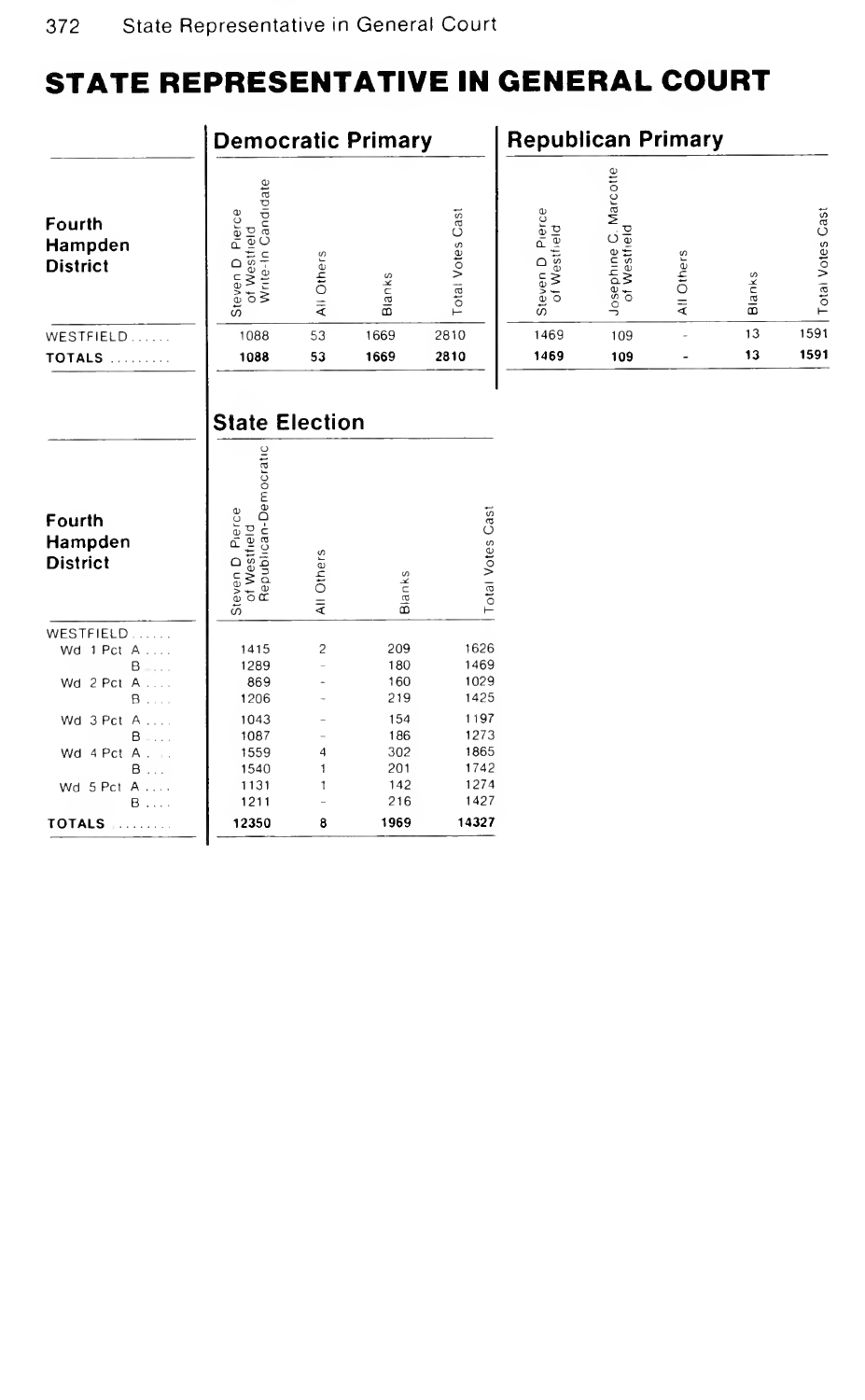|                                                                                 | <b>Democratic Primary</b>                                   |                |                          |                              | <b>Republican Primary</b>               |                           |                          |        |                  |
|---------------------------------------------------------------------------------|-------------------------------------------------------------|----------------|--------------------------|------------------------------|-----------------------------------------|---------------------------|--------------------------|--------|------------------|
| Fourth<br>Hampden<br><b>District</b>                                            | of Westfield<br>Write-In Candidate<br>Pierce<br>Steven D    | All Others     | Blanks                   | Total Votes Cast             | Pierce<br>Steven D Pier<br>of Westfield | Marcotte<br>Josephine C.1 | All Others               | Blanks | Total Votes Cast |
| WESTFIELD                                                                       | 1088                                                        | 53             | 1669                     | 2810                         | 1469                                    | 109                       | $\overline{\phantom{a}}$ | 13     | 1591             |
| <b>TOTALS</b>                                                                   | 1088                                                        | 53             | 1669                     | 2810                         | 1469                                    | 109                       |                          | 13     | 1591             |
| Fourth<br>Hampden<br><b>District</b>                                            | of Westfield<br>Republican-Democratic<br>Pierce<br>Steven D | All Others     | Blanks                   | <b>Total Votes Cast</b>      |                                         |                           |                          |        |                  |
| WESTFIELD.<br>Wd 1 Pct A<br>B<br>Wd 2 Pct A<br>1.1.1<br>R<br>$\cdots$           | 1415<br>1289<br>869<br>1206                                 | $\overline{c}$ | 209<br>180<br>160<br>219 | 1626<br>1469<br>1029<br>1425 |                                         |                           |                          |        |                  |
| Wd 3 Pct A<br>1.1.1<br>B<br>$\cdots$<br>Wd 4 Pct A<br>в<br>$\sim$ $\sim$ $\sim$ | 1043<br>1087<br>1559<br>1540                                | 4<br>1         | 154<br>186<br>302<br>201 | 1197<br>1273<br>1865<br>1742 |                                         |                           |                          |        |                  |
| Wd 5 Pct A<br>$B$                                                               | 1131<br>1211                                                | 1              | 142<br>216               | 1274<br>1427                 |                                         |                           |                          |        |                  |
| <b>TOTALS</b><br><b><i>The Company's</i></b>                                    | 12350                                                       | 8              | 1969                     | 14327                        |                                         |                           |                          |        |                  |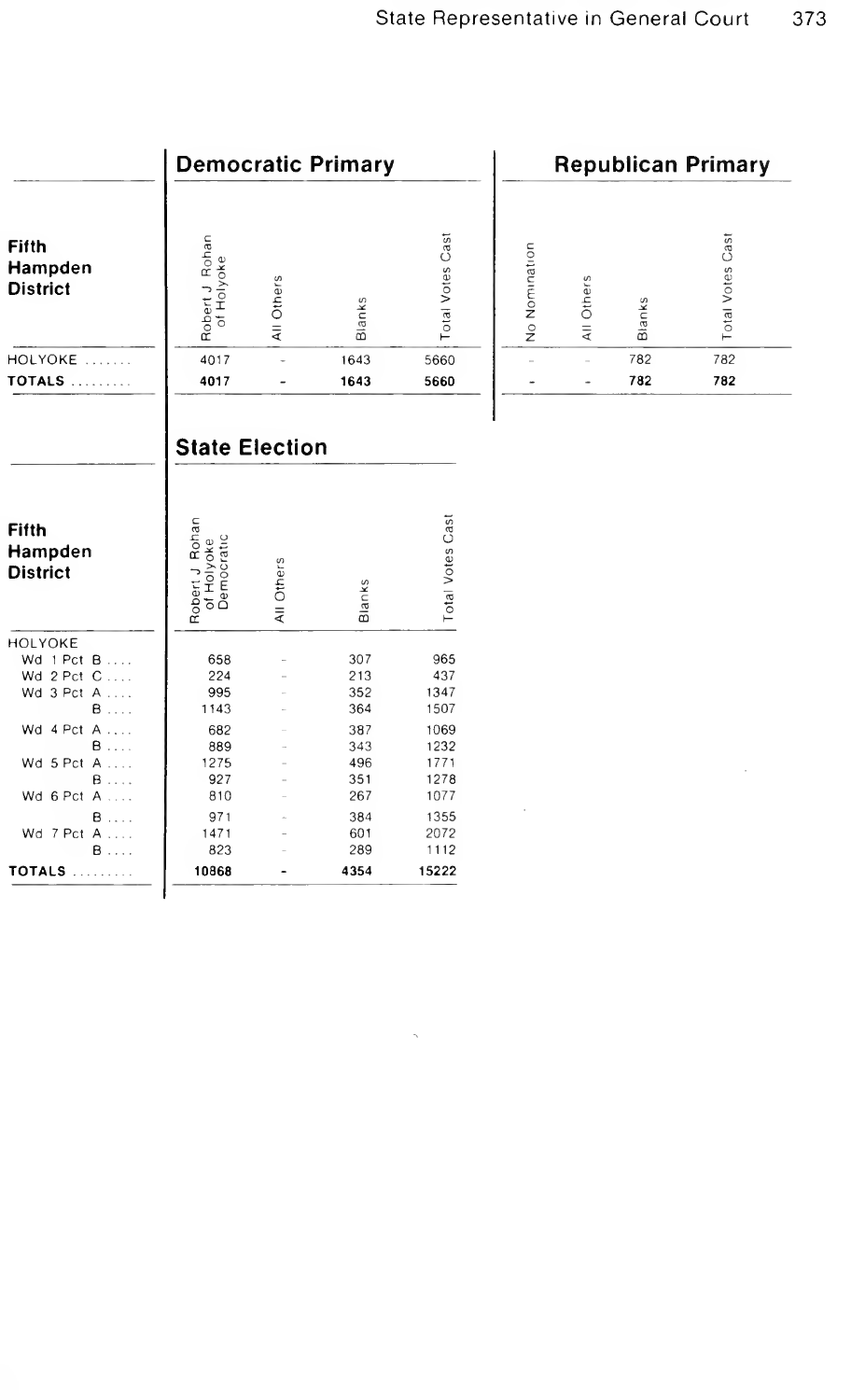| Fifth<br>Hampden<br><b>District</b>                                                  |                                             |            | <b>Democratic Primary</b> |                              | <b>Republican Primary</b> |            |            |                  |  |
|--------------------------------------------------------------------------------------|---------------------------------------------|------------|---------------------------|------------------------------|---------------------------|------------|------------|------------------|--|
|                                                                                      | Robert J Rohan<br>of Holyoke                | All Others | Blanks                    | Total Votes Cast             | No Nomination             | All Others | Blanks     | Total Votes Cast |  |
| HOLYOKE<br><b>TOTALS</b>                                                             | 4017<br>4017                                | ü          | 1643<br>1643              | 5660<br>5660                 |                           | i.<br>÷    | 782<br>782 | 782<br>782       |  |
|                                                                                      | <b>State Election</b>                       |            |                           |                              |                           |            |            |                  |  |
| Fifth<br>Hampden<br><b>District</b>                                                  | Robert J. Rohan<br>of Holyoke<br>Democratic | All Others | Blanks                    | Total Votes Cast             |                           |            |            |                  |  |
| <b>HOLYOKE</b><br>Wd $1$ Pct $B$<br>Wd 2 Pct C<br>Wd 3 Pct A<br>$\sim$ $\sim$<br>$B$ | 658<br>224<br>995<br>1143                   |            | 307<br>213<br>352<br>364  | 965<br>437<br>1347<br>1507   |                           |            |            |                  |  |
| Wd 4 Pct A<br>$\sim$<br>в<br>$\sim 100$<br>Wd 5 Pct A<br>1.111<br>В<br>$\cdots$      | 682<br>889<br>1275<br>927                   |            | 387<br>343<br>496<br>351  | 1069<br>1232<br>1771<br>1278 |                           |            |            |                  |  |
| Wd 6 Pct A<br>B<br>Wd 7 Pct A<br>$\ldots$ .                                          | 810<br>971<br>1471                          |            | 267<br>384<br>601         | 1077<br>1355<br>2072         |                           |            |            |                  |  |
| $B$<br><b>TOTALS</b>                                                                 | 823<br>10868                                | ٠          | 289<br>4354               | 1112<br>15222                |                           |            |            |                  |  |

 $\sim$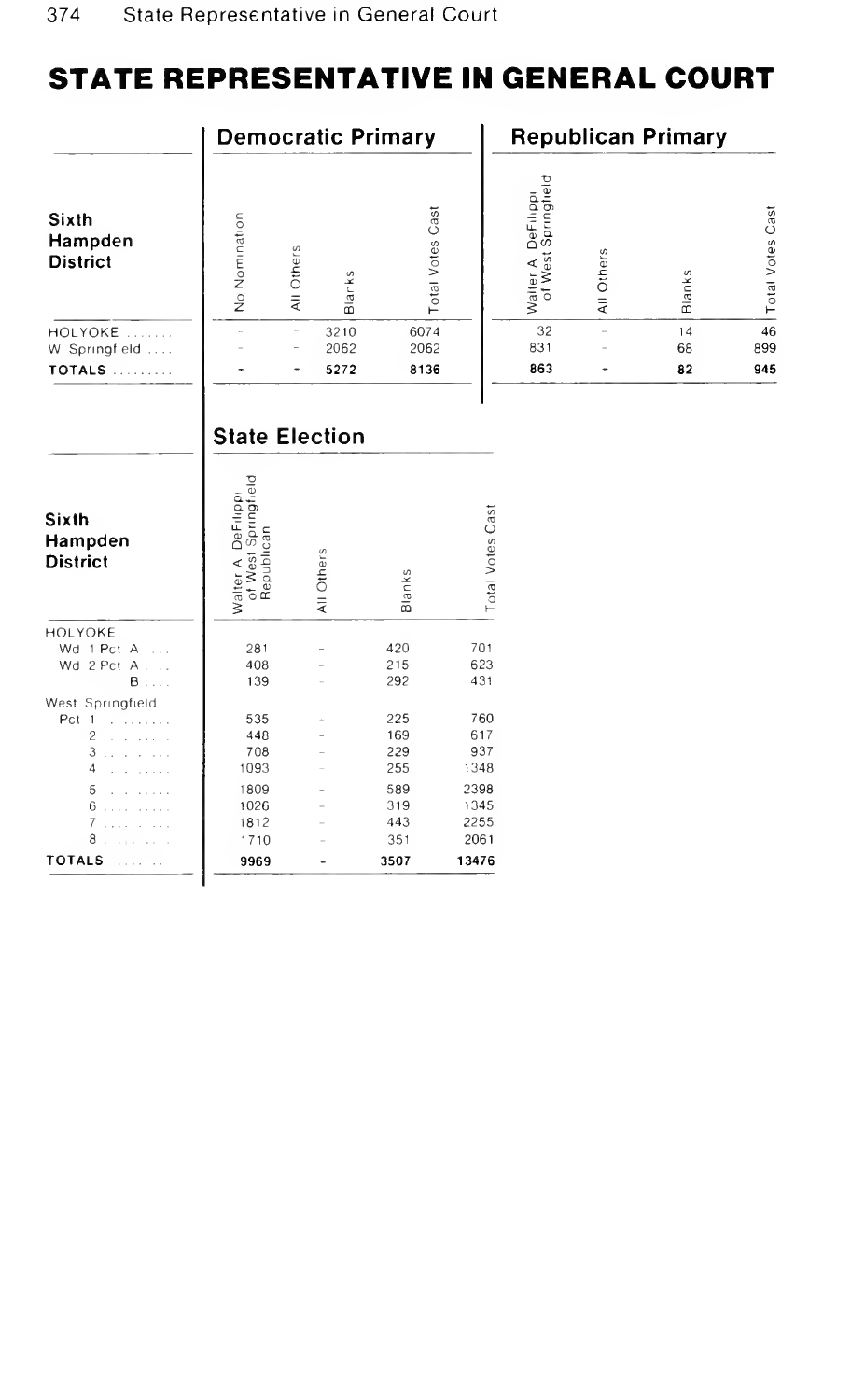|                                                                    | <b>Democratic Primary</b>                               |            |                      |                          |                              | <b>Republican Primary</b>                 |            |                |                                |  |
|--------------------------------------------------------------------|---------------------------------------------------------|------------|----------------------|--------------------------|------------------------------|-------------------------------------------|------------|----------------|--------------------------------|--|
| Sixth<br>Hampden<br><b>District</b>                                | No Nomination                                           | All Others | Blanks               | <b>Total Votes Cast</b>  |                              | Watter A DeFilippi<br>of West Springfield | All Others | Blanks         | $\frac{1}{2}$ Total Votes Cast |  |
| HOLYOKE<br>W Springfield<br>TOTALS                                 |                                                         |            | 3210<br>2062<br>5272 | 6074<br>2062<br>8136     |                              | 32<br>831<br>863                          |            | 14<br>68<br>82 | 899<br>945                     |  |
|                                                                    | <b>State Election</b>                                   |            |                      |                          |                              |                                           |            |                |                                |  |
| Sixth<br>Hampden<br><b>District</b>                                | Walter A DeFilippi<br>of West Springfield<br>Republican |            | All Others           | Blanks                   | <b>Total Votes Cast</b>      |                                           |            |                |                                |  |
| <b>HOLYOKE</b><br>Wd 1 Pct A<br>Wd 2 Pct A.<br>$B$                 | 281<br>408<br>139                                       |            |                      | 420<br>215<br>292        | 701<br>623<br>431            |                                           |            |                |                                |  |
| West Springfield<br>$Pct 1$<br>2<br>.<br>3<br>and the company<br>4 | 535<br>448<br>708<br>1093                               |            |                      | 225<br>169<br>229<br>255 | 760<br>617<br>937<br>1348    |                                           |            |                |                                |  |
| 5<br>6<br>7<br>8                                                   | 1809<br>1026<br>1812<br>1710                            |            |                      | 589<br>319<br>443<br>351 | 2398<br>1345<br>2255<br>2061 |                                           |            |                |                                |  |
| <b>TOTALS</b>                                                      | 9969                                                    |            |                      | 3507                     | 13476                        |                                           |            |                |                                |  |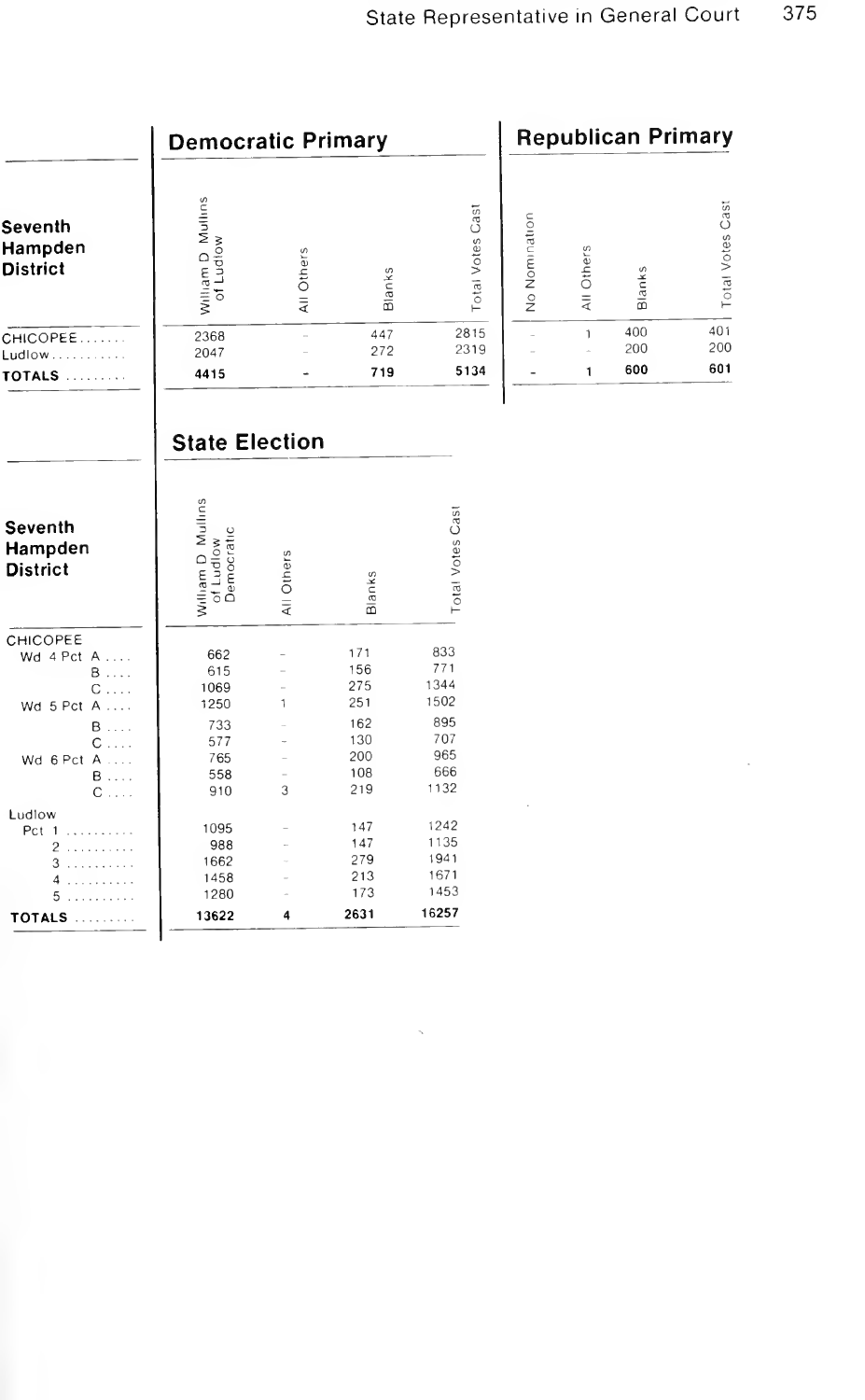|                                                     | <b>Democratic Primary</b>                    |            |                                         | <b>Republican Primary</b>                     |               |                                    |                   |                   |
|-----------------------------------------------------|----------------------------------------------|------------|-----------------------------------------|-----------------------------------------------|---------------|------------------------------------|-------------------|-------------------|
| Seventh<br>Hampden<br><b>District</b>               | William D Mullins<br>of Ludlow               | All Others | Blanks                                  | Total Votes Cast                              | No Nomination | All Others                         | Blanks            | Total Votes Cast  |
| CHICOPEE<br>Ludlow<br>TOTALS                        | 2368<br>2047<br>4415                         |            | 447<br>272<br>719                       | 2815<br>2319<br>5134                          |               | $\mathbf{1}$<br>J.<br>$\mathbf{1}$ | 400<br>200<br>600 | 401<br>200<br>601 |
|                                                     | <b>State Election</b>                        |            |                                         |                                               |               |                                    |                   |                   |
| Seventh<br>Hampden<br><b>District</b>               | William D Mullins<br>of Ludlow<br>Democratic | All Others | Blanks                                  | Total Votes Cast                              |               |                                    |                   |                   |
| CHICOPEE<br>Wd 4 Pct A<br>B<br>C<br>Wd 5 Pct A      | 662<br>615<br>1069<br>1250                   | 1          | 171<br>156<br>275<br>251                | 833<br>771<br>1344<br>1502                    |               |                                    |                   |                   |
| B<br>C<br>Wd 6 Pct A<br>B<br>$C \ldots$ .           | 733<br>577<br>765<br>558<br>910              | i.<br>3    | 162<br>130<br>200<br>108<br>219         | 895<br>707<br>965<br>666<br>1132              |               |                                    |                   |                   |
| Ludlow<br>Pct 1<br>.<br>2<br>.<br>3<br>5<br>TOTALS. | 1095<br>988<br>1662<br>1458<br>1280<br>13622 | 4          | 147<br>147<br>279<br>213<br>173<br>2631 | 1242<br>1135<br>1941<br>1671<br>1453<br>16257 |               |                                    |                   |                   |